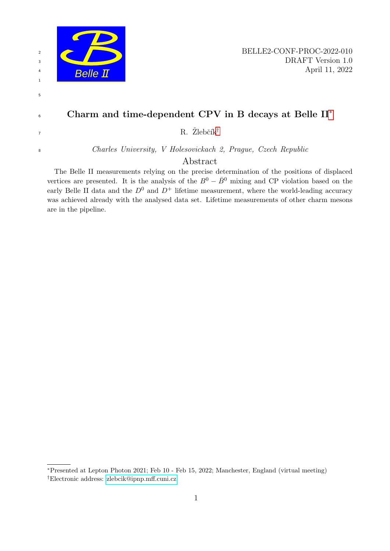

Abstract

The Belle II measurements relying on the precise determination of the positions of displaced vertices are presented. It is the analysis of the  $B^0 - \bar{B}^0$  mixing and CP violation based on the early Belle II data and the  $D^0$  and  $D^+$  lifetime measurement, where the world-leading accuracy was achieved already with the analysed data set. Lifetime measurements of other charm mesons are in the pipeline.

<span id="page-0-1"></span><span id="page-0-0"></span><sup>∗</sup>Presented at Lepton Photon 2021; Feb 10 - Feb 15, 2022; Manchester, England (virtual meeting) †Electronic address: [zlebcik@ipnp.mff.cuni.cz](mailto:zlebcik@ipnp.mff.cuni.cz)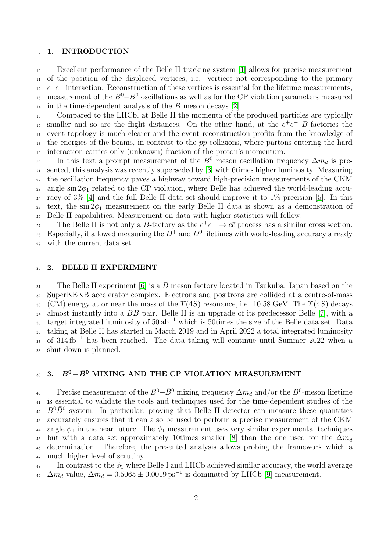#### <sup>9</sup> 1. INTRODUCTION

<sup>10</sup> Excellent performance of the Belle II tracking system [\[1\]](#page-4-0) allows for precise measurement <sup>11</sup> of the position of the displaced vertices, i.e. vertices not corresponding to the primary  $e^+e^-$  interaction. Reconstruction of these vertices is essential for the lifetime measurements, 13 measurement of the  $B^0-\bar{B}^0$  oscillations as well as for the CP violation parameters measured  $_{14}$  in the time-dependent analysis of the B meson decays [\[2\]](#page-4-1).

<sup>15</sup> Compared to the LHCb, at Belle II the momenta of the produced particles are typically <sup>16</sup> smaller and so are the flight distances. On the other hand, at the  $e^+e^-$  B-factories the <sup>17</sup> event topology is much clearer and the event reconstruction profits from the knowledge of  $_{18}$  the energies of the beams, in contrast to the pp collisions, where partons entering the hard <sup>19</sup> interaction carries only (unknown) fraction of the proton's momentum.

20 In this text a prompt measurement of the  $B^0$  meson oscillation frequency  $\Delta m_d$  is pre-<sup>21</sup> sented, this analysis was recently superseded by [\[3\]](#page-5-0) with 6times higher luminosity. Measuring <sup>22</sup> the oscillation frequency paves a highway toward high-precision measurements of the CKM 23 angle sin  $2\phi_1$  related to the CP violation, where Belle has achieved the world-leading accu-<sup>24</sup> racy of  $3\%$  [\[4\]](#page-5-1) and the full Belle II data set should improve it to  $1\%$  precision [\[5\]](#page-5-2). In this <sup>25</sup> text, the sin  $2\phi_1$  measurement on the early Belle II data is shown as a demonstration of <sup>26</sup> Belle II capabilities. Measurement on data with higher statistics will follow.

The Belle II is not only a B-factory as the  $e^+e^- \to c\bar{c}$  process has a similar cross section. 28 Especially, it allowed measuring the  $D^+$  and  $D^0$  lifetimes with world-leading accuracy already

<sup>29</sup> with the current data set.

### <sup>30</sup> 2. BELLE II EXPERIMENT

<sup>31</sup> The Belle II experiment [\[6\]](#page-5-3) is a B meson factory located in Tsukuba, Japan based on the <sup>32</sup> SuperKEKB accelerator complex. Electrons and positrons are collided at a centre-of-mass 33 (CM) energy at or near the mass of the  $\Upsilon(4S)$  resonance, i.e. 10.58 GeV. The  $\Upsilon(4S)$  decays 34 almost instantly into a  $B\bar{B}$  pair. Belle II is an upgrade of its predecessor Belle [\[7\]](#page-5-4), with a <sup>35</sup> target integrated luminosity of  $50 ab^{-1}$  which is 50times the size of the Belle data set. Data <sup>36</sup> taking at Belle II has started in March 2019 and in April 2022 a total integrated luminosity 37 of  $314 \text{ fb}^{-1}$  has been reached. The data taking will continue until Summer 2022 when a <sup>38</sup> shut-down is planned.

# 39 3.  $B^0 - \bar{B}^0$  MIXING AND THE CP VIOLATION MEASUREMENT

Precise measurement of the  $B^0 - \bar{B}^0$  mixing frequency  $\Delta m_d$  and/or the  $B^0$ -meson lifetime <sup>41</sup> is essential to validate the tools and techniques used for the time-dependent studies of the  $B^0 \bar{B}^0$  system. In particular, proving that Belle II detector can measure these quantities <sup>43</sup> accurately ensures that it can also be used to perform a precise measurement of the CKM 44 angle  $\phi_1$  in the near future. The  $\phi_1$  measurement uses very similar experimental techniques 45 but with a data set approximately 10times smaller [\[8\]](#page-5-5) than the one used for the  $\Delta m_d$ <sup>46</sup> determination. Therefore, the presented analysis allows probing the framework which a <sup>47</sup> much higher level of scrutiny.

 $\frac{48}{10}$  In contrast to the  $\phi_1$  where Belle I and LHCb achieved similar accuracy, the world average <sup>49</sup>  $\Delta m_d$  value,  $\Delta m_d = 0.5065 \pm 0.0019 \,\text{ps}^{-1}$  is dominated by LHCb [\[9\]](#page-5-6) measurement.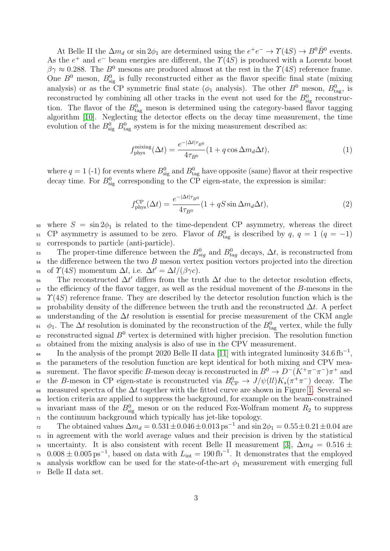At Belle II the  $\Delta m_d$  or  $\sin 2\phi_1$  are determined using the  $e^+e^- \to \gamma(4S) \to B^0 \bar{B}^0$  events. As the  $e^+$  and  $e^-$  beam energies are different, the  $\Upsilon(4S)$  is produced with a Lorentz boost  $\beta\gamma \approx 0.288$ . The  $B^0$  mesons are produced almost at the rest in the  $\gamma(4S)$  reference frame. One  $B^0$  meson,  $B^0_{sig}$  is fully reconstructed either as the flavor specific final state (mixing analysis) or as the CP symmetric final state ( $\phi_1$  analysis). The other  $B^0$  meson,  $B^0_{\text{tag}}$ , is reconstructed by combining all other tracks in the event not used for the  $B_{\text{sig}}^0$  reconstruction. The flavor of the  $B_{\text{tag}}^0$  meson is determined using the category-based flavor tagging algorithm [\[10\]](#page-5-7). Neglecting the detector effects on the decay time measurement, the time evolution of the  $B_{\text{sig}}^0$   $B_{\text{tag}}^0$  system is for the mixing measurement described as:

$$
f_{\rm phys}^{\rm mixing}(\Delta t) = \frac{e^{-|\Delta t|\tau_{B^0}}}{4\tau_{B^0}}(1 + q\cos\Delta m_d\Delta t),\tag{1}
$$

where  $q = 1$  (-1) for events where  $B_{\text{sig}}^0$  and  $B_{\text{tag}}^0$  have opposite (same) flavor at their respective decay time. For  $B_{\text{sig}}^0$  corresponding to the CP eigen-state, the expression is similar:

$$
f_{\rm phys}^{\rm CP}(\Delta t) = \frac{e^{-|\Delta t|\tau_{B^0}}}{4\tau_{B^0}}(1+qS\sin\Delta m_d\Delta t),\tag{2}
$$

50 where  $S = \sin 2\phi_1$  is related to the time-dependent CP asymmetry, whereas the direct 51 CP asymmetry is assumed to be zero. Flavor of  $B_{\text{tag}}^0$  is described by  $q, q = 1$   $(q = -1)$ <sup>52</sup> corresponds to particle (anti-particle).

53 The proper-time difference between the  $B_{sig}^0$  and  $B_{tag}^0$  decays,  $\Delta t$ , is reconstructed from  $_{54}$  the difference between the two B meson vertex position vectors projected into the direction 55 of  $\Upsilon(4S)$  momentum  $\Delta l$ , i.e.  $\Delta t' = \Delta l/(\beta \gamma c)$ .

56 The reconstructed  $\Delta t'$  differs from the truth  $\Delta t$  due to the detector resolution effects,  $57$  the efficiency of the flavor tagger, as well as the residual movement of the B-mesons in the  $58 \text{ }$   $\gamma$ (4S) reference frame. They are described by the detector resolution function which is the 59 probability density of the difference between the truth and the reconstructed  $\Delta t$ . A perfect 60 understanding of the  $\Delta t$  resolution is essential for precise measurement of the CKM angle <sup>61</sup>  $\phi_1$ . The  $\Delta t$  resolution is dominated by the reconstruction of the  $B^0_{\text{tag}}$  vertex, while the fully  $\epsilon_2$  reconstructed signal  $B^0$  vertex is determined with higher precision. The resolution function <sup>63</sup> obtained from the mixing analysis is also of use in the CPV measurement.

In the analysis of the prompt 2020 Belle II data [\[11\]](#page-5-8) with integrated luminosity  $34.6 \text{ fb}^{-1}$ , <sup>65</sup> the parameters of the resolution function are kept identical for both mixing and CPV mea-<sup>66</sup> surement. The flavor specific B-meson decay is reconstructed in  $B^0 \to D^- (K^+ \pi^- \pi^-) \pi^+$  and <sup>67</sup> the B-meson in CP eigen-state is reconstructed via  $B_{\rm CP}^0 \to J/\psi(ll)K_s(\pi^+\pi^-)$  decay. The 68 measured spectra of the  $\Delta t$  together with the fitted curve are shown in Figure [1.](#page-3-0) Several se-<sup>69</sup> lection criteria are applied to suppress the background, for example on the beam-constrained <sup>70</sup> invariant mass of the  $B_{\text{sig}}^0$  meson or on the reduced Fox-Wolfram moment  $R_2$  to suppress  $71$  the continuum background which typically has jet-like topology.

The obtained values  $\Delta m_d = 0.531 \pm 0.046 \pm 0.013 \,\text{ps}^{-1}$  and  $\sin 2\phi_1 = 0.55 \pm 0.21 \pm 0.04$  are <sup>73</sup> in agreement with the world average values and their precision is driven by the statistical <sup>74</sup> uncertainty. It is also consistent with recent Belle II measurement [\[3\]](#page-5-0),  $\Delta m_d = 0.516 \pm 10^{-10}$ <sup>75</sup> 0.008  $\pm$  0.005 ps<sup>-1</sup>, based on data with  $L_{\text{int}} = 190 \text{ fb}^{-1}$ . It demonstrates that the employed <sup>76</sup> analysis workflow can be used for the state-of-the-art  $\phi_1$  measurement with emerging full <sup>77</sup> Belle II data set.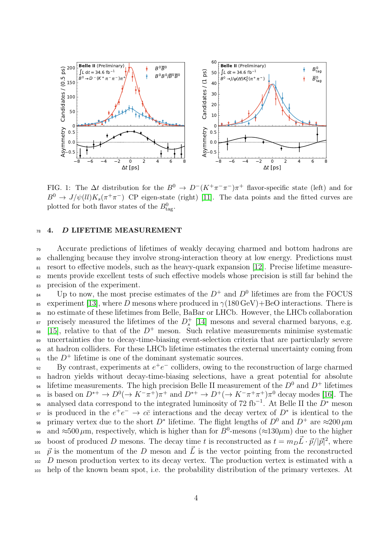

<span id="page-3-0"></span>FIG. 1: The  $\Delta t$  distribution for the  $B^0 \to D^-(K^+\pi^-\pi^-)\pi^+$  flavor-specific state (left) and for  $B^0 \to J/\psi(l)K_s(\pi^+\pi^-)$  CP eigen-state (right) [\[11\]](#page-5-8). The data points and the fitted curves are plotted for both flavor states of the  $B^0_{\text{tag}}$ .

### <sup>78</sup> 4. D LIFETIME MEASUREMENT

<sub>79</sub> Accurate predictions of lifetimes of weakly decaying charmed and bottom hadrons are <sup>80</sup> challenging because they involve strong-interaction theory at low energy. Predictions must <sup>81</sup> resort to effective models, such as the heavy-quark expansion [\[12\]](#page-5-9). Precise lifetime measure-<sup>82</sup> ments provide excellent tests of such effective models whose precision is still far behind the <sup>83</sup> precision of the experiment.

 $_{84}$  Up to now, the most precise estimates of the  $D^+$  and  $D^0$  lifetimes are from the FOCUS 85 experiment [\[13\]](#page-5-10), where D mesons where produced in  $\gamma(180 \,\text{GeV}) + \text{BeO}$  interactions. There is <sup>86</sup> no estimate of these lifetimes from Belle, BaBar or LHCb. However, the LHCb collaboration <sup>87</sup> precisely measured the lifetimes of the  $D_s^+$  [\[14\]](#page-5-11) mesons and several charmed baryons, e.g. 88 [\[15\]](#page-5-12), relative to that of the  $D^+$  meson. Such relative measurements minimise systematic <sup>89</sup> uncertainties due to decay-time-biasing event-selection criteria that are particularly severe <sup>90</sup> at hadron colliders. For these LHCb lifetime estimates the external uncertainty coming from <sup>91</sup> the  $D^+$  lifetime is one of the dominant systematic sources.

By contrast, experiments at  $e^+e^-$  colliders, owing to the reconstruction of large charmed <sup>93</sup> hadron yields without decay-time-biasing selections, have a great potential for absolute <sup>94</sup> lifetime measurements. The high precision Belle II measurement of the  $D^0$  and  $D^+$  lifetimes <sup>95</sup> is based on  $D^{*+} \to D^0(\to K^-\pi^+)\pi^+$  and  $D^{*+} \to D^+(\to K^-\pi^+\pi^+)\pi^0$  decay modes [\[16\]](#page-5-13). The <sup>96</sup> analysed data correspond to the integrated luminosity of 72 fb<sup>-1</sup>. At Belle II the  $\overline{D}^*$  meson 97 is produced in the  $e^+e^- \rightarrow c\bar{c}$  interactions and the decay vertex of  $D^*$  is identical to the 98 primary vertex due to the short  $D^*$  lifetime. The flight lengths of  $D^0$  and  $D^+$  are  $\approx$ 200  $\mu$ m 99 and ≈500  $\mu$ m, respectively, which is higher than for B<sup>0</sup>-mesons (≈130 $\mu$ m) due to the higher 100 boost of produced D mesons. The decay time t is reconstructed as  $t = m_D \vec{L} \cdot \vec{p}/|\vec{p}|^2$ , where <sup>101</sup>  $\vec{p}$  is the momentum of the D meson and  $\vec{L}$  is the vector pointing from the reconstructed <sup>102</sup> D meson production vertex to its decay vertex. The production vertex is estimated with a <sup>103</sup> help of the known beam spot, i.e. the probability distribution of the primary vertexes. At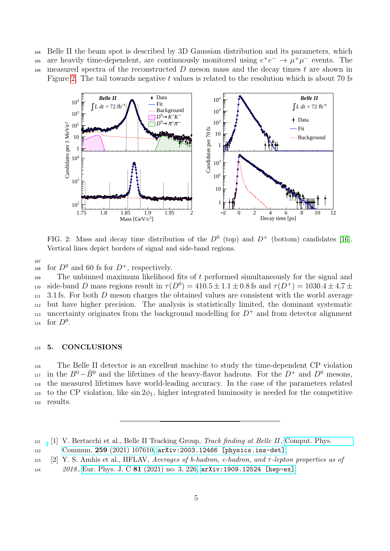<sup>104</sup> Belle II the beam spot is described by 3D Gaussian distribution and its parameters, which

105 are heavily time-dependent, are continuously monitored using  $e^+e^- \to \mu^+\mu^-$  events. The  $106$  measured spectra of the reconstructed D meson mass and the decay times t are shown in Figure [2.](#page-4-2) The tail towards negative  $t$  values is related to the resolution which is about 70 fs



<span id="page-4-2"></span>FIG. 2: Mass and decay time distribution of the  $D^0$  (top) and  $D^+$  (bottom) candidates [\[16\]](#page-5-13). Vertical lines depict borders of signal and side-band regions.

107

108 for  $D^0$  and 60 fs for  $D^+$ , respectively.

 $109$  The unbinned maximum likelihood fits of t performed simultaneously for the signal and 110 side-band D mass regions result in  $\tau(D^0) = 410.5 \pm 1.1 \pm 0.8$  fs and  $\tau(D^+) = 1030.4 \pm 4.7 \pm 1.1$  $111$  3.1 fs. For both D meson charges the obtained values are consistent with the world average <sup>112</sup> but have higher precision. The analysis is statistically limited, the dominant systematic uncertainty originates from the background modelling for  $D^+$  and from detector alignment  $_{114}$  for  $D^0$ .

## <sup>115</sup> 5. CONCLUSIONS

<sup>116</sup> The Belle II detector is an excellent machine to study the time-dependent CP violation  $i<sub>117</sub>$  in the  $B<sup>0</sup> - \bar{B}<sup>0</sup>$  and the lifetimes of the heavy-flavor hadrons. For the D<sup>+</sup> and D<sup>0</sup> mesons, <sup>118</sup> the measured lifetimes have world-leading accuracy. In the case of the parameters related 119 to the CP violation, like  $\sin 2\phi_1$ , higher integrated luminosity is needed for the competitive <sup>120</sup> results.

<span id="page-4-0"></span> $121$  [1] V. Bertacchi et al., Belle II Tracking Group, Track finding at Belle II, [Comput. Phys.](http://dx.doi.org/10.1016/j.cpc.2020.107610)

<sup>122</sup> Commun. 259 [\(2021\) 107610,](http://dx.doi.org/10.1016/j.cpc.2020.107610) [arXiv:2003.12466 \[physics.ins-det\]](http://arxiv.org/abs/2003.12466).

<span id="page-4-1"></span><sup>123 [2]</sup> Y. S. Amhis et al., HFLAV, Averages of b-hadron, c-hadron, and  $\tau$ -lepton properties as of

<sup>124 2018,</sup> Eur. Phys. J. C 81 [\(2021\) no. 3, 226,](http://dx.doi.org/10.1140/epjc/s10052-020-8156-7) [arXiv:1909.12524 \[hep-ex\]](http://arxiv.org/abs/1909.12524).